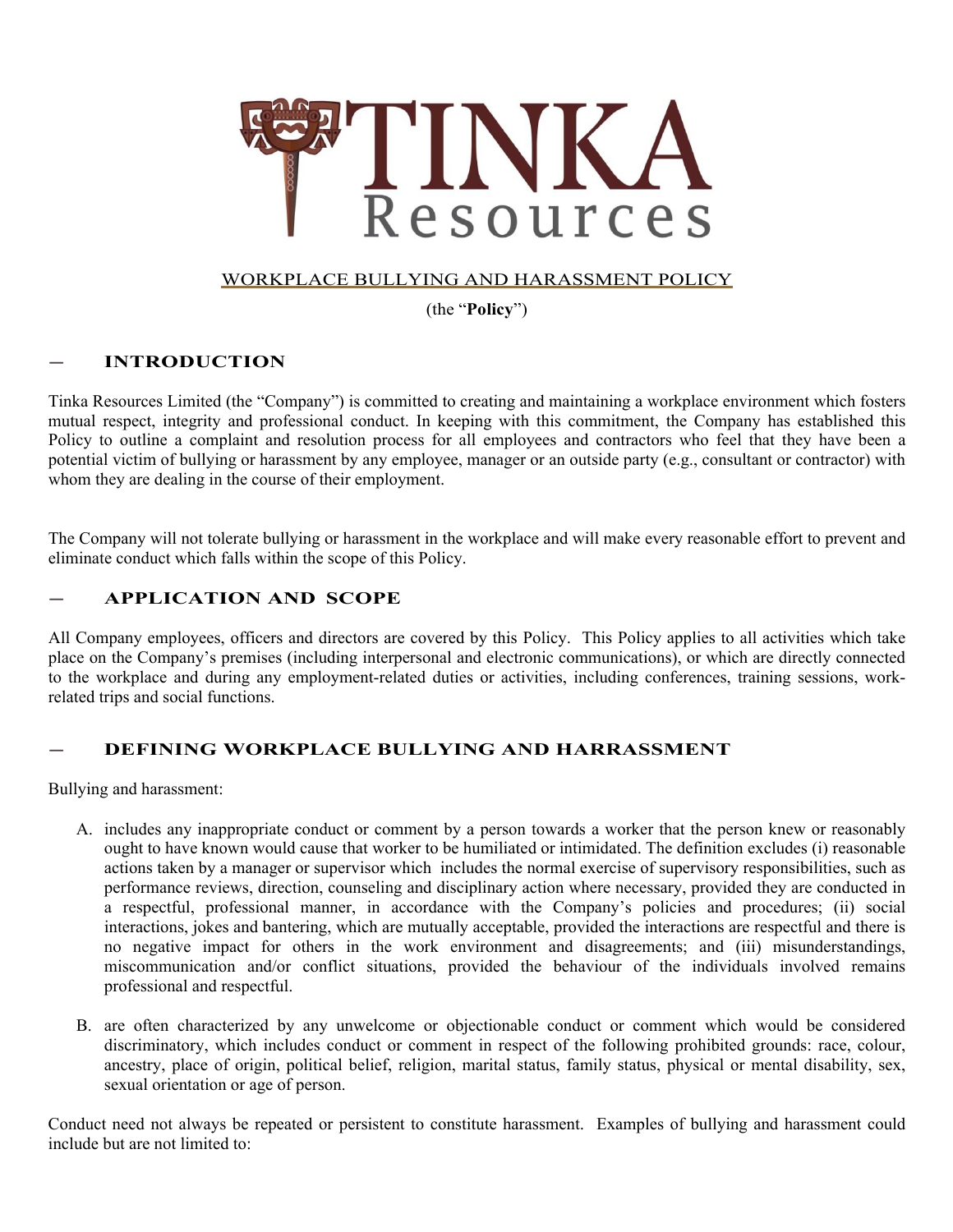

## WORKPLACE BULLYING AND HARASSMENT POLICY

(the "**Policy**")

# **— INTRODUCTION**

Tinka Resources Limited (the "Company") is committed to creating and maintaining a workplace environment which fosters mutual respect, integrity and professional conduct. In keeping with this commitment, the Company has established this Policy to outline a complaint and resolution process for all employees and contractors who feel that they have been a potential victim of bullying or harassment by any employee, manager or an outside party (e.g., consultant or contractor) with whom they are dealing in the course of their employment.

The Company will not tolerate bullying or harassment in the workplace and will make every reasonable effort to prevent and eliminate conduct which falls within the scope of this Policy.

# **— APPLICATION AND SCOPE**

All Company employees, officers and directors are covered by this Policy. This Policy applies to all activities which take place on the Company's premises (including interpersonal and electronic communications), or which are directly connected to the workplace and during any employment-related duties or activities, including conferences, training sessions, workrelated trips and social functions.

# **— DEFINING WORKPLACE BULLYING AND HARRASSMENT**

Bullying and harassment:

- A. includes any inappropriate conduct or comment by a person towards a worker that the person knew or reasonably ought to have known would cause that worker to be humiliated or intimidated. The definition excludes (i) reasonable actions taken by a manager or supervisor which includes the normal exercise of supervisory responsibilities, such as performance reviews, direction, counseling and disciplinary action where necessary, provided they are conducted in a respectful, professional manner, in accordance with the Company's policies and procedures; (ii) social interactions, jokes and bantering, which are mutually acceptable, provided the interactions are respectful and there is no negative impact for others in the work environment and disagreements; and (iii) misunderstandings, miscommunication and/or conflict situations, provided the behaviour of the individuals involved remains professional and respectful.
- B. are often characterized by any unwelcome or objectionable conduct or comment which would be considered discriminatory, which includes conduct or comment in respect of the following prohibited grounds: race, colour, ancestry, place of origin, political belief, religion, marital status, family status, physical or mental disability, sex, sexual orientation or age of person.

Conduct need not always be repeated or persistent to constitute harassment. Examples of bullying and harassment could include but are not limited to: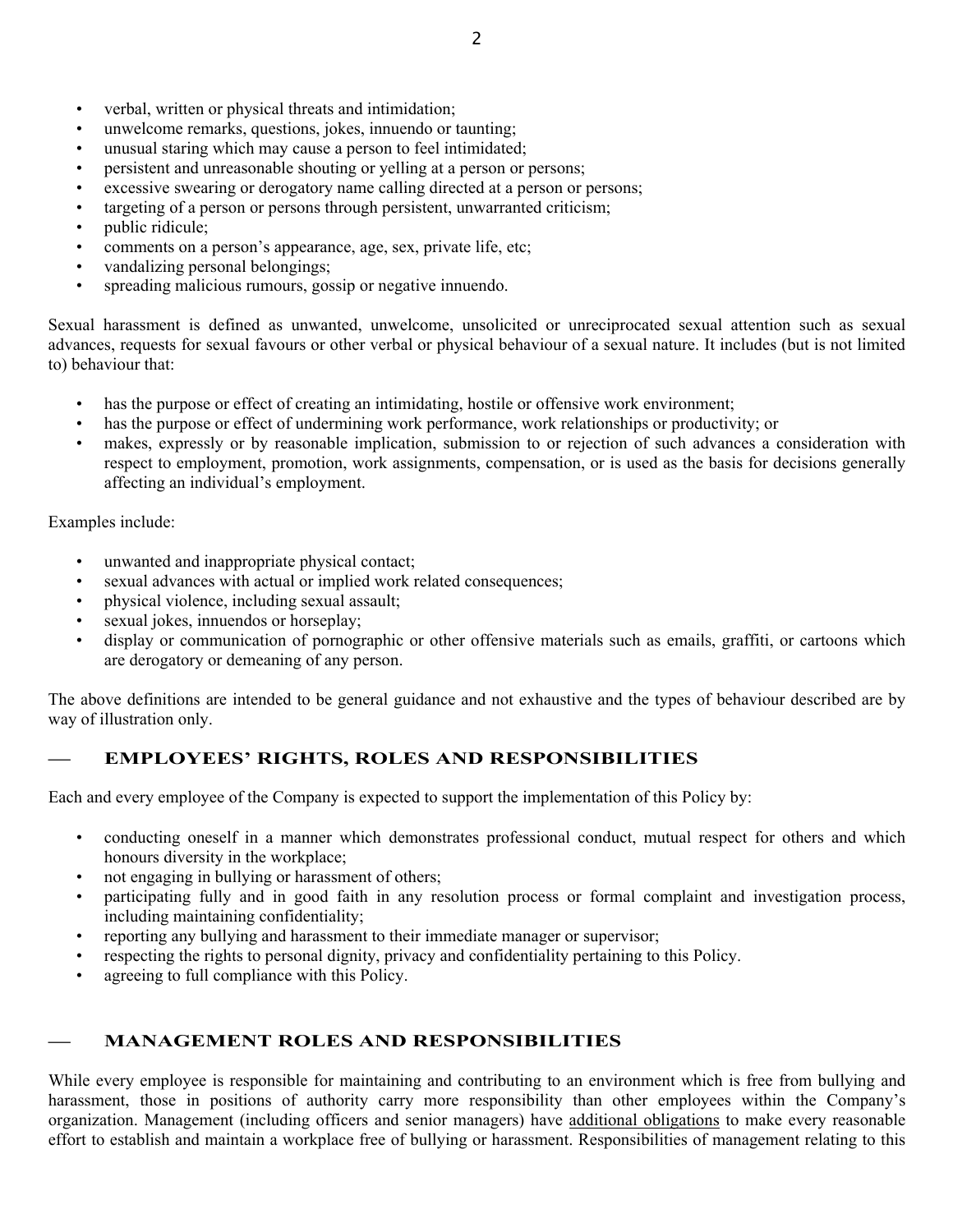- verbal, written or physical threats and intimidation;
- unwelcome remarks, questions, jokes, innuendo or taunting;
- unusual staring which may cause a person to feel intimidated;
- persistent and unreasonable shouting or yelling at a person or persons;
- excessive swearing or derogatory name calling directed at a person or persons;
- targeting of a person or persons through persistent, unwarranted criticism;
- public ridicule;
- comments on a person's appearance, age, sex, private life, etc;
- vandalizing personal belongings;
- spreading malicious rumours, gossip or negative innuendo.

Sexual harassment is defined as unwanted, unwelcome, unsolicited or unreciprocated sexual attention such as sexual advances, requests for sexual favours or other verbal or physical behaviour of a sexual nature. It includes (but is not limited to) behaviour that:

- has the purpose or effect of creating an intimidating, hostile or offensive work environment;
- has the purpose or effect of undermining work performance, work relationships or productivity; or
- makes, expressly or by reasonable implication, submission to or rejection of such advances a consideration with respect to employment, promotion, work assignments, compensation, or is used as the basis for decisions generally affecting an individual's employment.

Examples include:

- unwanted and inappropriate physical contact;
- sexual advances with actual or implied work related consequences;
- physical violence, including sexual assault;
- sexual jokes, innuendos or horseplay;
- display or communication of pornographic or other offensive materials such as emails, graffiti, or cartoons which are derogatory or demeaning of any person.

The above definitions are intended to be general guidance and not exhaustive and the types of behaviour described are by way of illustration only.

# **— EMPLOYEES' RIGHTS, ROLES AND RESPONSIBILITIES**

Each and every employee of the Company is expected to support the implementation of this Policy by:

- conducting oneself in a manner which demonstrates professional conduct, mutual respect for others and which honours diversity in the workplace;
- not engaging in bullying or harassment of others;
- participating fully and in good faith in any resolution process or formal complaint and investigation process, including maintaining confidentiality;
- reporting any bullying and harassment to their immediate manager or supervisor;
- respecting the rights to personal dignity, privacy and confidentiality pertaining to this Policy.
- agreeing to full compliance with this Policy.

## **— MANAGEMENT ROLES AND RESPONSIBILITIES**

While every employee is responsible for maintaining and contributing to an environment which is free from bullying and harassment, those in positions of authority carry more responsibility than other employees within the Company's organization. Management (including officers and senior managers) have additional obligations to make every reasonable effort to establish and maintain a workplace free of bullying or harassment. Responsibilities of management relating to this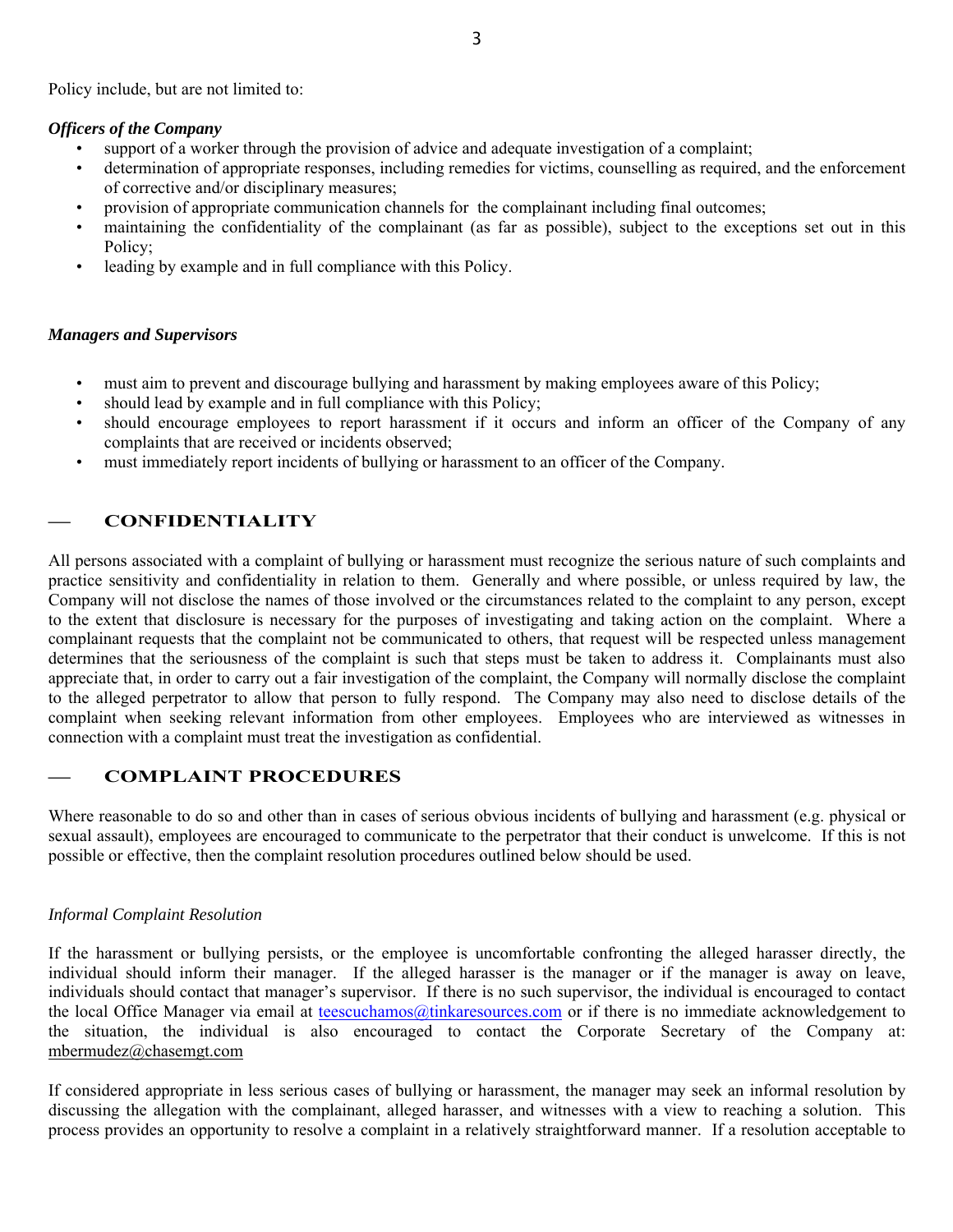Policy include, but are not limited to:

#### *Officers of the Company*

- support of a worker through the provision of advice and adequate investigation of a complaint;
- determination of appropriate responses, including remedies for victims, counselling as required, and the enforcement of corrective and/or disciplinary measures;
- provision of appropriate communication channels for the complainant including final outcomes;
- maintaining the confidentiality of the complainant (as far as possible), subject to the exceptions set out in this Policy;
- leading by example and in full compliance with this Policy.

### *Managers and Supervisors*

- must aim to prevent and discourage bullying and harassment by making employees aware of this Policy;
- should lead by example and in full compliance with this Policy;
- should encourage employees to report harassment if it occurs and inform an officer of the Company of any complaints that are received or incidents observed;
- must immediately report incidents of bullying or harassment to an officer of the Company.

# **— CONFIDENTIALITY**

All persons associated with a complaint of bullying or harassment must recognize the serious nature of such complaints and practice sensitivity and confidentiality in relation to them. Generally and where possible, or unless required by law, the Company will not disclose the names of those involved or the circumstances related to the complaint to any person, except to the extent that disclosure is necessary for the purposes of investigating and taking action on the complaint. Where a complainant requests that the complaint not be communicated to others, that request will be respected unless management determines that the seriousness of the complaint is such that steps must be taken to address it. Complainants must also appreciate that, in order to carry out a fair investigation of the complaint, the Company will normally disclose the complaint to the alleged perpetrator to allow that person to fully respond. The Company may also need to disclose details of the complaint when seeking relevant information from other employees. Employees who are interviewed as witnesses in connection with a complaint must treat the investigation as confidential.

## **— COMPLAINT PROCEDURES**

Where reasonable to do so and other than in cases of serious obvious incidents of bullying and harassment (e.g. physical or sexual assault), employees are encouraged to communicate to the perpetrator that their conduct is unwelcome. If this is not possible or effective, then the complaint resolution procedures outlined below should be used.

#### *Informal Complaint Resolution*

If the harassment or bullying persists, or the employee is uncomfortable confronting the alleged harasser directly, the individual should inform their manager. If the alleged harasser is the manager or if the manager is away on leave, individuals should contact that manager's supervisor. If there is no such supervisor, the individual is encouraged to contact the local Office Manager via email at teescuchamos@tinkaresources.com or if there is no immediate acknowledgement to the situation, the individual is also encouraged to contact the Corporate Secretary of the Company at: mbermudez@chasemgt.com

If considered appropriate in less serious cases of bullying or harassment, the manager may seek an informal resolution by discussing the allegation with the complainant, alleged harasser, and witnesses with a view to reaching a solution. This process provides an opportunity to resolve a complaint in a relatively straightforward manner. If a resolution acceptable to